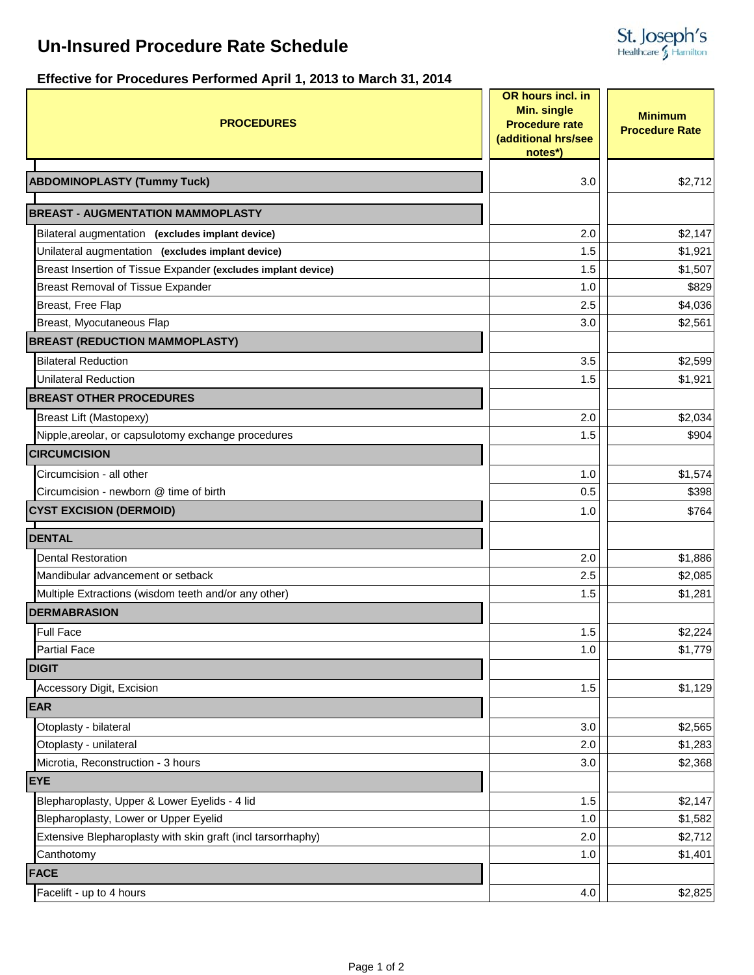# **Un-Insured Procedure Rate Schedule**



### **Effective for Procedures Performed April 1, 2013 to March 31, 2014**

| <b>PROCEDURES</b>                                             | OR hours incl. in<br><b>Min. single</b><br><b>Procedure rate</b><br>(additional hrs/see<br>notes*) | <b>Minimum</b><br><b>Procedure Rate</b> |
|---------------------------------------------------------------|----------------------------------------------------------------------------------------------------|-----------------------------------------|
| <b>ABDOMINOPLASTY (Tummy Tuck)</b>                            | 3.0                                                                                                | \$2,712                                 |
|                                                               |                                                                                                    |                                         |
| <b>BREAST - AUGMENTATION MAMMOPLASTY</b>                      |                                                                                                    |                                         |
| Bilateral augmentation (excludes implant device)              | 2.0                                                                                                | \$2,147                                 |
| Unilateral augmentation (excludes implant device)             | 1.5                                                                                                | \$1,921                                 |
| Breast Insertion of Tissue Expander (excludes implant device) | 1.5                                                                                                | \$1,507                                 |
| Breast Removal of Tissue Expander                             | 1.0                                                                                                | \$829                                   |
| Breast, Free Flap                                             | 2.5                                                                                                | \$4,036                                 |
| Breast, Myocutaneous Flap                                     | 3.0                                                                                                | \$2,561                                 |
| <b>BREAST (REDUCTION MAMMOPLASTY)</b>                         |                                                                                                    |                                         |
| <b>Bilateral Reduction</b>                                    | 3.5                                                                                                | \$2,599                                 |
| <b>Unilateral Reduction</b>                                   | 1.5                                                                                                | \$1,921                                 |
| <b>BREAST OTHER PROCEDURES</b>                                |                                                                                                    |                                         |
| <b>Breast Lift (Mastopexy)</b>                                | 2.0                                                                                                | \$2,034                                 |
| Nipple, areolar, or capsulotomy exchange procedures           | 1.5                                                                                                | \$904                                   |
| <b>CIRCUMCISION</b>                                           |                                                                                                    |                                         |
| Circumcision - all other                                      | 1.0                                                                                                | \$1,574                                 |
| Circumcision - newborn @ time of birth                        | 0.5                                                                                                | \$398                                   |
| <b>CYST EXCISION (DERMOID)</b>                                | 1.0                                                                                                | \$764                                   |
| <b>DENTAL</b>                                                 |                                                                                                    |                                         |
| <b>Dental Restoration</b>                                     | 2.0                                                                                                | \$1,886                                 |
| Mandibular advancement or setback                             | 2.5                                                                                                | \$2,085                                 |
| Multiple Extractions (wisdom teeth and/or any other)          | 1.5                                                                                                | \$1,281                                 |
| <b>DERMABRASION</b>                                           |                                                                                                    |                                         |
| <b>Full Face</b>                                              | 1.5                                                                                                | \$2,224                                 |
| <b>Partial Face</b>                                           | 1.0                                                                                                | \$1,779                                 |
| <b>DIGIT</b>                                                  |                                                                                                    |                                         |
| Accessory Digit, Excision                                     | 1.5                                                                                                | \$1,129                                 |
| <b>EAR</b>                                                    |                                                                                                    |                                         |
| Otoplasty - bilateral                                         | 3.0                                                                                                | \$2,565                                 |
| Otoplasty - unilateral                                        | 2.0                                                                                                | \$1,283                                 |
| Microtia, Reconstruction - 3 hours                            | 3.0                                                                                                | \$2,368                                 |
| <b>EYE</b>                                                    |                                                                                                    |                                         |
| Blepharoplasty, Upper & Lower Eyelids - 4 lid                 | 1.5                                                                                                | \$2,147                                 |
| Blepharoplasty, Lower or Upper Eyelid                         | 1.0                                                                                                | \$1,582                                 |
| Extensive Blepharoplasty with skin graft (incl tarsorrhaphy)  | 2.0                                                                                                | \$2,712                                 |
| Canthotomy                                                    | 1.0                                                                                                | \$1,401                                 |
| <b>FACE</b>                                                   |                                                                                                    |                                         |
| Facelift - up to 4 hours                                      | 4.0                                                                                                | \$2,825                                 |